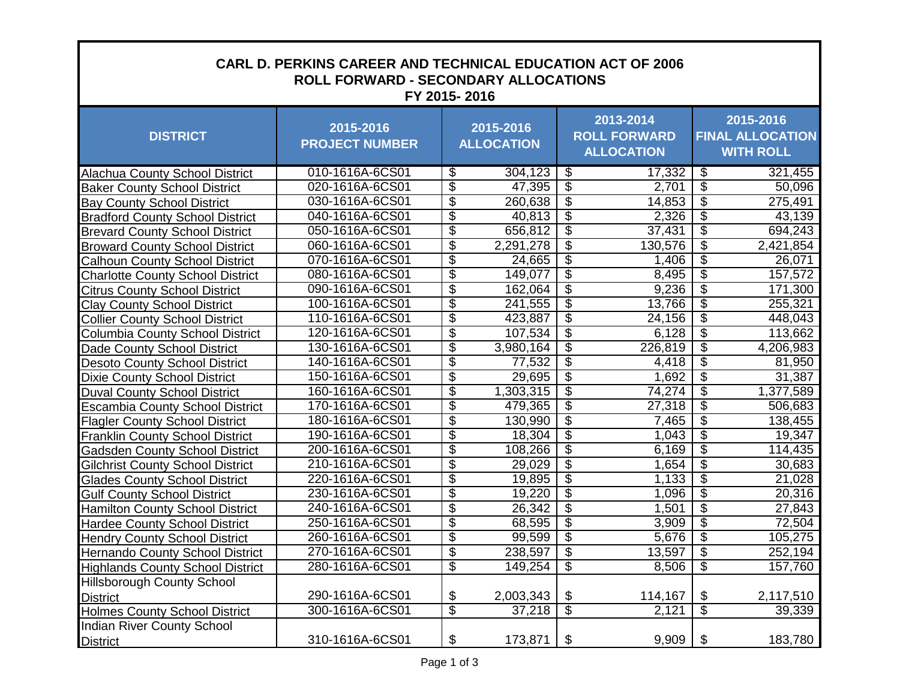| <b>CARL D. PERKINS CAREER AND TECHNICAL EDUCATION ACT OF 2006</b><br><b>ROLL FORWARD - SECONDARY ALLOCATIONS</b><br>FY 2015-2016 |                                    |                                       |                                                       |                                                          |  |  |  |
|----------------------------------------------------------------------------------------------------------------------------------|------------------------------------|---------------------------------------|-------------------------------------------------------|----------------------------------------------------------|--|--|--|
| <b>DISTRICT</b>                                                                                                                  | 2015-2016<br><b>PROJECT NUMBER</b> | 2015-2016<br><b>ALLOCATION</b>        | 2013-2014<br><b>ROLL FORWARD</b><br><b>ALLOCATION</b> | 2015-2016<br><b>FINAL ALLOCATION</b><br><b>WITH ROLL</b> |  |  |  |
| <b>Alachua County School District</b>                                                                                            | 010-1616A-6CS01                    | \$<br>304,123                         | \$<br>17,332                                          | \$<br>321,455                                            |  |  |  |
| <b>Baker County School District</b>                                                                                              | 020-1616A-6CS01                    | \$<br>47,395                          | \$<br>2,701                                           | \$<br>50,096                                             |  |  |  |
| <b>Bay County School District</b>                                                                                                | 030-1616A-6CS01                    | \$<br>260,638                         | $\overline{\$}$<br>14,853                             | \$<br>275,491                                            |  |  |  |
| <b>Bradford County School District</b>                                                                                           | 040-1616A-6CS01                    | \$<br>40,813                          | $\overline{\$}$<br>2,326                              | \$<br>43,139                                             |  |  |  |
| <b>Brevard County School District</b>                                                                                            | 050-1616A-6CS01                    | $\overline{\$}$<br>656,812            | \$<br>37,431                                          | $\overline{\mathcal{G}}$<br>694,243                      |  |  |  |
| <b>Broward County School District</b>                                                                                            | 060-1616A-6CS01                    | $\overline{\$}$<br>2,291,278          | \$<br>130,576                                         | $\overline{\$}$<br>2,421,854                             |  |  |  |
| <b>Calhoun County School District</b>                                                                                            | 070-1616A-6CS01                    | \$<br>24,665                          | $\overline{\$}$<br>1,406                              | \$<br>26,071                                             |  |  |  |
| <b>Charlotte County School District</b>                                                                                          | 080-1616A-6CS01                    | \$<br>149,077                         | \$<br>8,495                                           | $\overline{\mathcal{E}}$<br>157,572                      |  |  |  |
| <b>Citrus County School District</b>                                                                                             | 090-1616A-6CS01                    | $\overline{\mathcal{S}}$<br>162,064   | \$<br>9,236                                           | $\overline{\mathcal{S}}$<br>171,300                      |  |  |  |
| <b>Clay County School District</b>                                                                                               | 100-1616A-6CS01                    | \$<br>241,555                         | \$<br>13,766                                          | $\overline{\mathcal{G}}$<br>255,321                      |  |  |  |
| <b>Collier County School District</b>                                                                                            | 110-1616A-6CS01                    | \$<br>423,887                         | \$<br>24,156                                          | \$<br>448,043                                            |  |  |  |
| <b>Columbia County School District</b>                                                                                           | 120-1616A-6CS01                    | \$<br>107,534                         | \$<br>6,128                                           | \$<br>113,662                                            |  |  |  |
| <b>Dade County School District</b>                                                                                               | 130-1616A-6CS01                    | $\overline{\$}$<br>3,980,164          | \$<br>226,819                                         | $\overline{\$}$<br>4,206,983                             |  |  |  |
| <b>Desoto County School District</b>                                                                                             | 140-1616A-6CS01                    | \$<br>77,532                          | \$<br>4,418                                           | $\overline{\mathcal{E}}$<br>81,950                       |  |  |  |
| <b>Dixie County School District</b>                                                                                              | 150-1616A-6CS01                    | \$<br>29,695                          | \$<br>1,692                                           | \$<br>31,387                                             |  |  |  |
| <b>Duval County School District</b>                                                                                              | 160-1616A-6CS01                    | $\overline{\mathcal{S}}$<br>1,303,315 | \$<br>74,274                                          | \$<br>1,377,589                                          |  |  |  |
| <b>Escambia County School District</b>                                                                                           | 170-1616A-6CS01                    | $\overline{\$}$<br>479,365            | \$<br>27,318                                          | $\overline{\mathcal{S}}$<br>506,683                      |  |  |  |
| <b>Flagler County School District</b>                                                                                            | 180-1616A-6CS01                    | $\overline{\mathcal{S}}$<br>130,990   | \$<br>7,465                                           | $\overline{\mathcal{E}}$<br>138,455                      |  |  |  |
| <b>Franklin County School District</b>                                                                                           | 190-1616A-6CS01                    | $\overline{\$}$<br>18,304             | \$<br>1,043                                           | $\overline{\mathcal{G}}$<br>19,347                       |  |  |  |
| <b>Gadsden County School District</b>                                                                                            | 200-1616A-6CS01                    | \$<br>108,266                         | \$<br>6,169                                           | $\overline{\$}$<br>114,435                               |  |  |  |
| <b>Gilchrist County School District</b>                                                                                          | 210-1616A-6CS01                    | \$<br>29,029                          | \$<br>1,654                                           | $\overline{\$}$<br>30,683                                |  |  |  |
| <b>Glades County School District</b>                                                                                             | 220-1616A-6CS01                    | \$<br>19,895                          | $\overline{\$}$<br>1,133                              | $\overline{\$}$<br>21,028                                |  |  |  |
| <b>Gulf County School District</b>                                                                                               | 230-1616A-6CS01                    | \$<br>19,220                          | $\overline{\$}$<br>1,096                              | \$<br>20,316                                             |  |  |  |
| <b>Hamilton County School District</b>                                                                                           | 240-1616A-6CS01                    | \$<br>26,342                          | \$<br>1,501                                           | $\overline{\mathcal{G}}$<br>27,843                       |  |  |  |
| <b>Hardee County School District</b>                                                                                             | 250-1616A-6CS01                    | \$<br>68,595                          | $\overline{\mathbf{e}}$<br>3,909                      | $\overline{\$}$<br>72,504                                |  |  |  |
| <b>Hendry County School District</b>                                                                                             | 260-1616A-6CS01                    | \$<br>99,599                          | \$<br>5,676                                           | $\overline{\mathcal{E}}$<br>105,275                      |  |  |  |
| <b>Hernando County School District</b>                                                                                           | 270-1616A-6CS01                    | \$<br>238,597                         | \$<br>13,597                                          | $\overline{\mathcal{S}}$<br>252,194                      |  |  |  |
| <b>Highlands County School District</b>                                                                                          | 280-1616A-6CS01                    | $\overline{\$}$<br>149,254            | $\overline{\mathcal{G}}$<br>8,506                     | $\overline{\$}$<br>157,760                               |  |  |  |
| Hillsborough County School                                                                                                       |                                    |                                       |                                                       |                                                          |  |  |  |
| <b>District</b>                                                                                                                  | 290-1616A-6CS01                    | \$<br>2,003,343                       | \$<br>114,167                                         | \$<br>2,117,510                                          |  |  |  |
| <b>Holmes County School District</b>                                                                                             | 300-1616A-6CS01                    | $\overline{\$}$<br>37,218             | $\overline{\$}$<br>2,121                              | $\overline{\mathcal{S}}$<br>39,339                       |  |  |  |
| <b>Indian River County School</b>                                                                                                |                                    |                                       |                                                       |                                                          |  |  |  |
| <b>District</b>                                                                                                                  | 310-1616A-6CS01                    | \$<br>173,871                         | 9,909<br>\$                                           | 183,780<br>\$                                            |  |  |  |

×

п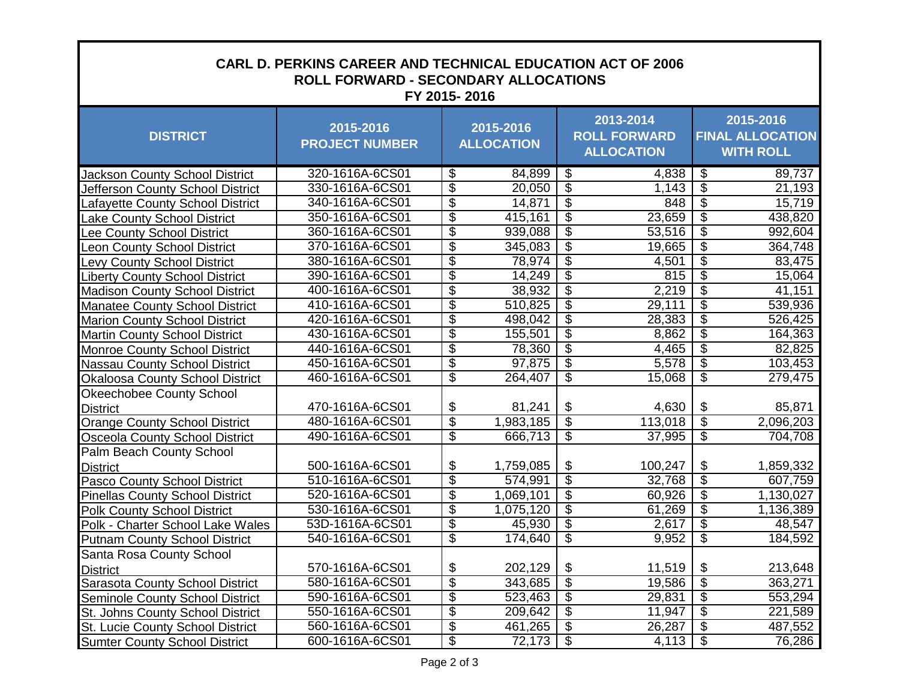| <b>CARL D. PERKINS CAREER AND TECHNICAL EDUCATION ACT OF 2006</b><br><b>ROLL FORWARD - SECONDARY ALLOCATIONS</b><br>FY 2015-2016 |                                    |                                       |                                                       |                                                          |  |  |  |
|----------------------------------------------------------------------------------------------------------------------------------|------------------------------------|---------------------------------------|-------------------------------------------------------|----------------------------------------------------------|--|--|--|
| <b>DISTRICT</b>                                                                                                                  | 2015-2016<br><b>PROJECT NUMBER</b> | 2015-2016<br><b>ALLOCATION</b>        | 2013-2014<br><b>ROLL FORWARD</b><br><b>ALLOCATION</b> | 2015-2016<br><b>FINAL ALLOCATION</b><br><b>WITH ROLL</b> |  |  |  |
| <b>Jackson County School District</b>                                                                                            | 320-1616A-6CS01                    | \$<br>84,899                          | \$<br>4,838                                           | \$<br>89,737                                             |  |  |  |
| Jefferson County School District                                                                                                 | 330-1616A-6CS01                    | \$<br>20,050                          | $\overline{\mathcal{G}}$<br>1,143                     | $\overline{\$}$<br>21,193                                |  |  |  |
| Lafayette County School District                                                                                                 | 340-1616A-6CS01                    | $\overline{\$}$<br>14,871             | \$<br>848                                             | $\overline{\$}$<br>15,719                                |  |  |  |
| Lake County School District                                                                                                      | 350-1616A-6CS01                    | $\overline{\$}$<br>415,161            | $\overline{\$}$<br>23,659                             | $\overline{\$}$<br>438,820                               |  |  |  |
| ee County School District                                                                                                        | 360-1616A-6CS01                    | \$<br>939,088                         | \$<br>53,516                                          | $\overline{\$}$<br>992,604                               |  |  |  |
| Leon County School District                                                                                                      | 370-1616A-6CS01                    | $\overline{\mathcal{S}}$<br>345,083   | \$<br>19,665                                          | $\overline{\$}$<br>364,748                               |  |  |  |
| <b>Levy County School District</b>                                                                                               | 380-1616A-6CS01                    | \$<br>78,974                          | \$<br>4,501                                           | $\overline{\$}$<br>83,475                                |  |  |  |
| <b>Liberty County School District</b>                                                                                            | 390-1616A-6CS01                    | $\overline{\$}$<br>14,249             | $\overline{\$}$<br>815                                | $\overline{\$}$<br>15,064                                |  |  |  |
| <b>Madison County School District</b>                                                                                            | 400-1616A-6CS01                    | $\overline{\$}$<br>38,932             | \$<br>2,219                                           | $\overline{\$}$<br>41,151                                |  |  |  |
| <b>Manatee County School District</b>                                                                                            | 410-1616A-6CS01                    | $\overline{\$}$<br>510,825            | \$<br>29,111                                          | $\overline{\$}$<br>539,936                               |  |  |  |
| <b>Marion County School District</b>                                                                                             | 420-1616A-6CS01                    | $\overline{\$}$<br>498,042            | \$<br>28,383                                          | $\overline{\$}$<br>526,425                               |  |  |  |
| <b>Martin County School District</b>                                                                                             | 430-1616A-6CS01                    | $\overline{\$}$<br>155,501            | $\overline{\$}$<br>8,862                              | $\overline{\$}$<br>164,363                               |  |  |  |
| <b>Monroe County School District</b>                                                                                             | 440-1616A-6CS01                    | \$<br>78,360                          | $\overline{\$}$<br>4,465                              | $\overline{\$}$<br>82,825                                |  |  |  |
| <b>Nassau County School District</b>                                                                                             | 450-1616A-6CS01                    | \$<br>97,875                          | \$<br>5,578                                           | $\overline{\mathcal{G}}$<br>103,453                      |  |  |  |
| <b>Okaloosa County School District</b>                                                                                           | 460-1616A-6CS01                    | $\overline{\$}$<br>264,407            | $\overline{\$}$<br>15,068                             | $\overline{\$}$<br>279,475                               |  |  |  |
| <b>Okeechobee County School</b>                                                                                                  |                                    |                                       |                                                       |                                                          |  |  |  |
| <b>District</b>                                                                                                                  | 470-1616A-6CS01                    | \$<br>81,241                          | \$<br>4,630                                           | \$<br>85,871                                             |  |  |  |
| <b>Orange County School District</b>                                                                                             | 480-1616A-6CS01                    | $\overline{\$}$<br>1,983,185          | \$<br>113,018                                         | $\overline{\$}$<br>2,096,203                             |  |  |  |
| <b>Osceola County School District</b>                                                                                            | 490-1616A-6CS01                    | $\overline{\$}$<br>666,713            | \$<br>37,995                                          | $\overline{\$}$<br>704,708                               |  |  |  |
| Palm Beach County School                                                                                                         |                                    |                                       |                                                       |                                                          |  |  |  |
| <b>District</b>                                                                                                                  | 500-1616A-6CS01                    | \$<br>1,759,085                       | \$<br>100,247                                         | \$<br>1,859,332                                          |  |  |  |
| Pasco County School District                                                                                                     | 510-1616A-6CS01                    | $\overline{\$}$<br>574,991            | $\overline{\$}$<br>32,768                             | $\overline{\$}$<br>607,759                               |  |  |  |
| <b>Pinellas County School District</b>                                                                                           | 520-1616A-6CS01                    | \$<br>1,069,101                       | $\overline{\$}$<br>60,926                             | $\overline{\$}$<br>1,130,027                             |  |  |  |
| <b>Polk County School District</b>                                                                                               | 530-1616A-6CS01                    | $\overline{\mathcal{S}}$<br>1,075,120 | \$<br>61,269                                          | $\overline{\mathcal{G}}$<br>1,136,389                    |  |  |  |
| Polk - Charter School Lake Wales                                                                                                 | 53D-1616A-6CS01                    | $\overline{\$}$<br>45,930             | $\overline{\$}$<br>2,617                              | $\overline{\$}$<br>48,547                                |  |  |  |
| <b>Putnam County School District</b>                                                                                             | 540-1616A-6CS01                    | $\overline{\$}$<br>174,640            | \$<br>9,952                                           | $\overline{\$}$<br>184,592                               |  |  |  |
| Santa Rosa County School                                                                                                         |                                    |                                       |                                                       |                                                          |  |  |  |
| <b>District</b>                                                                                                                  | 570-1616A-6CS01                    | \$<br>202,129                         | \$<br>11,519                                          | \$<br>213,648                                            |  |  |  |
| Sarasota County School District                                                                                                  | 580-1616A-6CS01                    | $\overline{\mathcal{S}}$<br>343,685   | $\overline{\mathcal{G}}$<br>19,586                    | $\overline{\mathcal{G}}$<br>363,271                      |  |  |  |
| <b>Seminole County School District</b>                                                                                           | 590-1616A-6CS01                    | \$<br>523,463                         | $\overline{\$}$<br>29,831                             | $\overline{\mathcal{G}}$<br>553,294                      |  |  |  |
| St. Johns County School District                                                                                                 | 550-1616A-6CS01                    | \$<br>209,642                         | $\overline{\mathcal{G}}$<br>11,947                    | \$<br>221,589                                            |  |  |  |
| <b>St. Lucie County School District</b>                                                                                          | 560-1616A-6CS01                    | \$<br>461,265                         | $\overline{\mathbf{e}}$<br>26,287                     | $\overline{\mathcal{G}}$<br>487,552                      |  |  |  |
| <b>Sumter County School District</b>                                                                                             | 600-1616A-6CS01                    | \$<br>72,173                          | $\overline{\$}$<br>4,113                              | \$<br>76,286                                             |  |  |  |